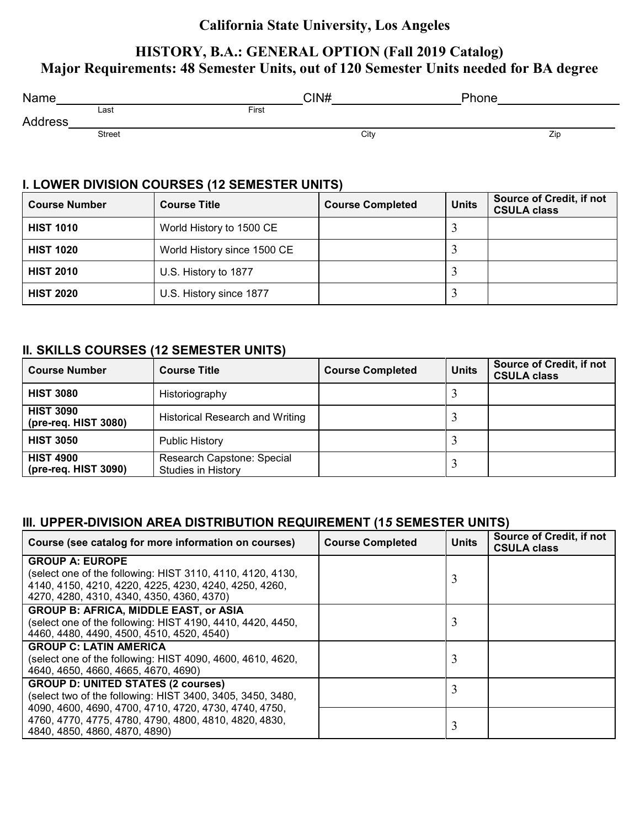### **California State University, Los Angeles**

## **HISTORY, B.A.: GENERAL OPTION (Fall 2019 Catalog) Major Requirements: 48 Semester Units, out of 120 Semester Units needed for BA degree**

| Name              |               | CIN#  |      | Phone |     |
|-------------------|---------------|-------|------|-------|-----|
|                   | Last          | First |      |       |     |
| Ad<br>'dress<br>. |               |       |      |       |     |
|                   | <b>Street</b> |       | City |       | Zip |

#### **I. LOWER DIVISION COURSES (12 SEMESTER UNITS)**

| <b>Course Number</b> | <b>Course Title</b>         | <b>Course Completed</b> | <b>Units</b> | <b>Source of Credit, if not</b><br><b>CSULA class</b> |
|----------------------|-----------------------------|-------------------------|--------------|-------------------------------------------------------|
| <b>HIST 1010</b>     | World History to 1500 CE    |                         |              |                                                       |
| <b>HIST 1020</b>     | World History since 1500 CE |                         |              |                                                       |
| <b>HIST 2010</b>     | U.S. History to 1877        |                         |              |                                                       |
| <b>HIST 2020</b>     | U.S. History since 1877     |                         |              |                                                       |

#### **II. SKILLS COURSES (12 SEMESTER UNITS)**

| <b>Course Number</b>                     | <b>Course Title</b>                                     | <b>Course Completed</b> | <b>Units</b> | <b>Source of Credit, if not</b><br><b>CSULA class</b> |
|------------------------------------------|---------------------------------------------------------|-------------------------|--------------|-------------------------------------------------------|
| <b>HIST 3080</b>                         | Historiography                                          |                         |              |                                                       |
| <b>HIST 3090</b><br>(pre-req. HIST 3080) | <b>Historical Research and Writing</b>                  |                         |              |                                                       |
| <b>HIST 3050</b>                         | <b>Public History</b>                                   |                         |              |                                                       |
| <b>HIST 4900</b><br>(pre-req. HIST 3090) | Research Capstone: Special<br><b>Studies in History</b> |                         |              |                                                       |

#### **III. UPPER-DIVISION AREA DISTRIBUTION REQUIREMENT (1***5* **SEMESTER UNITS)**

| Course (see catalog for more information on courses)       | <b>Course Completed</b> | <b>Units</b> | <b>Source of Credit, if not</b><br><b>CSULA class</b> |
|------------------------------------------------------------|-------------------------|--------------|-------------------------------------------------------|
| <b>GROUP A: EUROPE</b>                                     |                         |              |                                                       |
| (select one of the following: HIST 3110, 4110, 4120, 4130, |                         |              |                                                       |
| 4140, 4150, 4210, 4220, 4225, 4230, 4240, 4250, 4260,      |                         |              |                                                       |
| 4270, 4280, 4310, 4340, 4350, 4360, 4370)                  |                         |              |                                                       |
| <b>GROUP B: AFRICA, MIDDLE EAST, or ASIA</b>               |                         |              |                                                       |
| (select one of the following: HIST 4190, 4410, 4420, 4450, |                         | 3            |                                                       |
| 4460, 4480, 4490, 4500, 4510, 4520, 4540)                  |                         |              |                                                       |
| <b>GROUP C: LATIN AMERICA</b>                              |                         |              |                                                       |
| (select one of the following: HIST 4090, 4600, 4610, 4620, |                         | 3            |                                                       |
| 4640, 4650, 4660, 4665, 4670, 4690)                        |                         |              |                                                       |
| <b>GROUP D: UNITED STATES (2 courses)</b>                  |                         | 3            |                                                       |
| (select two of the following: HIST 3400, 3405, 3450, 3480, |                         |              |                                                       |
| 4090, 4600, 4690, 4700, 4710, 4720, 4730, 4740, 4750,      |                         |              |                                                       |
| 4760, 4770, 4775, 4780, 4790, 4800, 4810, 4820, 4830,      |                         | 3            |                                                       |
| 4840, 4850, 4860, 4870, 4890)                              |                         |              |                                                       |